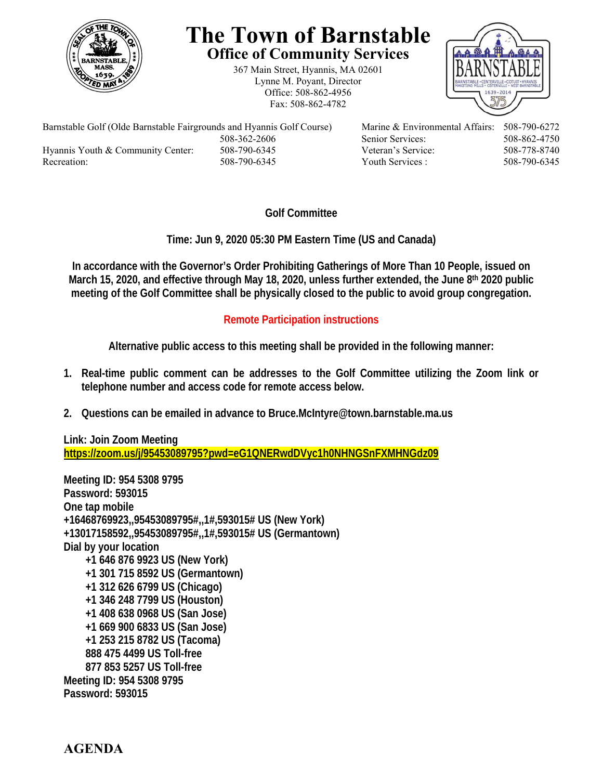

## **The Town of Barnstable Office of Community Services**

367 Main Street, Hyannis, MA 02601 Lynne M. Poyant, Director Office: 508-862-4956 Fax: 508-862-4782



Barnstable Golf (Olde Barnstable Fairgrounds and Hyannis Golf Course) Marine & Environmental Affairs: 508-790-6272 508-362-2606 Senior Services: 508-862-4750 Hyannis Youth & Community Center: 508-790-6345 Veteran's Service: 508-778-8740 Recreation: 508-790-6345 Youth Services : 508-790-6345 S08-790-6345

## **Golf Committee**

**Time: Jun 9, 2020 05:30 PM Eastern Time (US and Canada)** 

**In accordance with the Governor's Order Prohibiting Gatherings of More Than 10 People, issued on March 15, 2020, and effective through May 18, 2020, unless further extended, the June 8th 2020 public meeting of the Golf Committee shall be physically closed to the public to avoid group congregation.** 

## **Remote Participation instructions**

**Alternative public access to this meeting shall be provided in the following manner:** 

- **1. Real-time public comment can be addresses to the Golf Committee utilizing the Zoom link or telephone number and access code for remote access below.**
- **2. Questions can be emailed in advance to Bruce.McIntyre@town.barnstable.ma.us**

**Link: Join Zoom Meeting https://zoom.us/j/95453089795?pwd=eG1QNERwdDVyc1h0NHNGSnFXMHNGdz09** 

**Meeting ID: 954 5308 9795 Password: 593015 One tap mobile +16468769923,,95453089795#,,1#,593015# US (New York) +13017158592,,95453089795#,,1#,593015# US (Germantown) Dial by your location +1 646 876 9923 US (New York) +1 301 715 8592 US (Germantown) +1 312 626 6799 US (Chicago) +1 346 248 7799 US (Houston) +1 408 638 0968 US (San Jose) +1 669 900 6833 US (San Jose) +1 253 215 8782 US (Tacoma) 888 475 4499 US Toll-free 877 853 5257 US Toll-free Meeting ID: 954 5308 9795 Password: 593015**